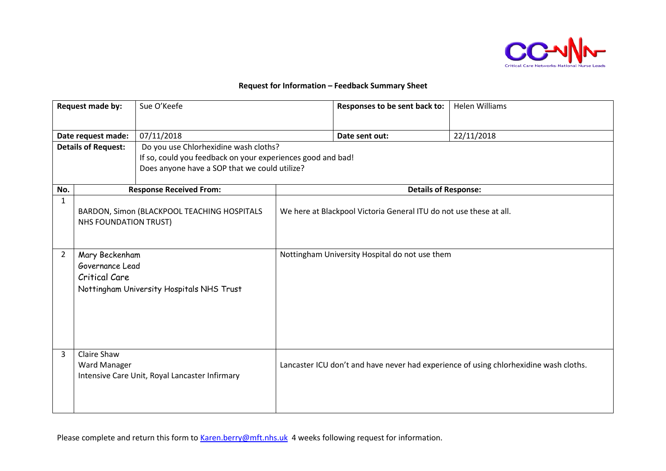

## **Request for Information – Feedback Summary Sheet**

| Request made by:           |                                                                                                        | Sue O'Keefe                                                 |                                                | Responses to be sent back to:                                      | <b>Helen Williams</b>                                                                 |  |
|----------------------------|--------------------------------------------------------------------------------------------------------|-------------------------------------------------------------|------------------------------------------------|--------------------------------------------------------------------|---------------------------------------------------------------------------------------|--|
| Date request made:         |                                                                                                        | 07/11/2018                                                  |                                                | Date sent out:                                                     | 22/11/2018                                                                            |  |
| <b>Details of Request:</b> |                                                                                                        | Do you use Chlorhexidine wash cloths?                       |                                                |                                                                    |                                                                                       |  |
|                            |                                                                                                        | If so, could you feedback on your experiences good and bad! |                                                |                                                                    |                                                                                       |  |
|                            |                                                                                                        | Does anyone have a SOP that we could utilize?               |                                                |                                                                    |                                                                                       |  |
| No.                        |                                                                                                        | <b>Response Received From:</b>                              |                                                | <b>Details of Response:</b>                                        |                                                                                       |  |
| 1                          | NHS FOUNDATION TRUST)                                                                                  | BARDON, Simon (BLACKPOOL TEACHING HOSPITALS                 |                                                | We here at Blackpool Victoria General ITU do not use these at all. |                                                                                       |  |
| $\overline{2}$             | Mary Beckenham<br>Governance Lead<br><b>Critical Care</b><br>Nottingham University Hospitals NHS Trust |                                                             | Nottingham University Hospital do not use them |                                                                    |                                                                                       |  |
| 3                          | Claire Shaw<br>Ward Manager                                                                            | Intensive Care Unit, Royal Lancaster Infirmary              |                                                |                                                                    | Lancaster ICU don't and have never had experience of using chlorhexidine wash cloths. |  |

Please complete and return this form to [Karen.berry@mft.nhs.uk](mailto:Karen.berry@mft.nhs.uk) 4 weeks following request for information.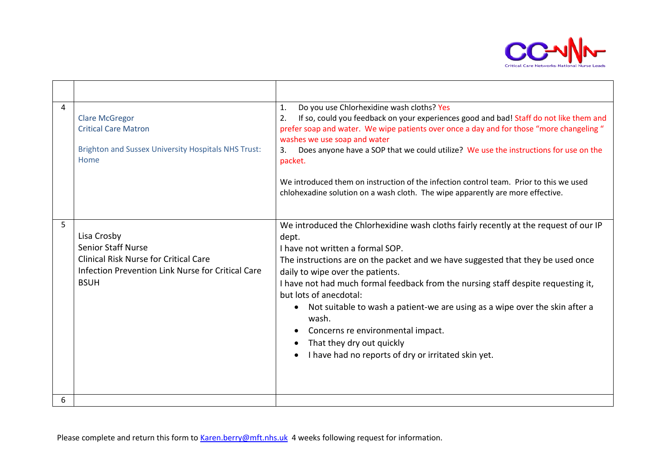

| 4 | <b>Clare McGregor</b><br><b>Critical Care Matron</b><br><b>Brighton and Sussex University Hospitals NHS Trust:</b><br>Home                                   | Do you use Chlorhexidine wash cloths? Yes<br>$\mathbf{1}$ .<br>If so, could you feedback on your experiences good and bad! Staff do not like them and<br>2.<br>prefer soap and water. We wipe patients over once a day and for those "more changeling"<br>washes we use soap and water<br>Does anyone have a SOP that we could utilize? We use the instructions for use on the<br>3.<br>packet.<br>We introduced them on instruction of the infection control team. Prior to this we used<br>chlohexadine solution on a wash cloth. The wipe apparently are more effective.              |
|---|--------------------------------------------------------------------------------------------------------------------------------------------------------------|------------------------------------------------------------------------------------------------------------------------------------------------------------------------------------------------------------------------------------------------------------------------------------------------------------------------------------------------------------------------------------------------------------------------------------------------------------------------------------------------------------------------------------------------------------------------------------------|
| 5 | Lisa Crosby<br><b>Senior Staff Nurse</b><br><b>Clinical Risk Nurse for Critical Care</b><br>Infection Prevention Link Nurse for Critical Care<br><b>BSUH</b> | We introduced the Chlorhexidine wash cloths fairly recently at the request of our IP<br>dept.<br>I have not written a formal SOP.<br>The instructions are on the packet and we have suggested that they be used once<br>daily to wipe over the patients.<br>I have not had much formal feedback from the nursing staff despite requesting it,<br>but lots of anecdotal:<br>Not suitable to wash a patient-we are using as a wipe over the skin after a<br>wash.<br>Concerns re environmental impact.<br>That they dry out quickly<br>I have had no reports of dry or irritated skin yet. |
| 6 |                                                                                                                                                              |                                                                                                                                                                                                                                                                                                                                                                                                                                                                                                                                                                                          |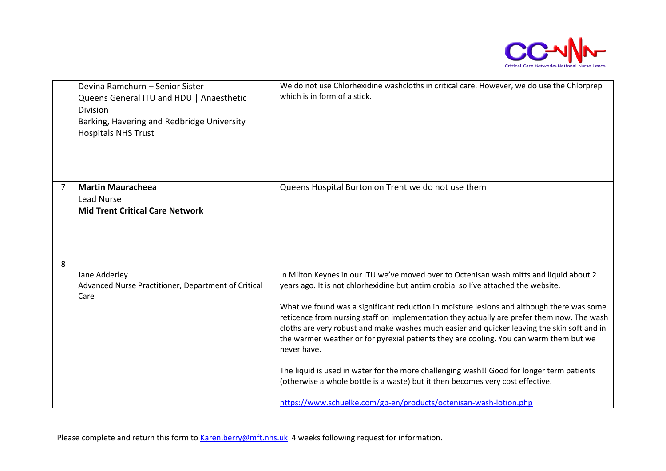

|   | Devina Ramchurn - Senior Sister<br>Queens General ITU and HDU   Anaesthetic<br><b>Division</b><br>Barking, Havering and Redbridge University<br><b>Hospitals NHS Trust</b> | We do not use Chlorhexidine washcloths in critical care. However, we do use the Chlorprep<br>which is in form of a stick.                                                                                                                                                                                                                                                                                                                                                                                                                                                                                                                                                                                                                                                                                                            |
|---|----------------------------------------------------------------------------------------------------------------------------------------------------------------------------|--------------------------------------------------------------------------------------------------------------------------------------------------------------------------------------------------------------------------------------------------------------------------------------------------------------------------------------------------------------------------------------------------------------------------------------------------------------------------------------------------------------------------------------------------------------------------------------------------------------------------------------------------------------------------------------------------------------------------------------------------------------------------------------------------------------------------------------|
| 7 | <b>Martin Mauracheea</b><br><b>Lead Nurse</b><br><b>Mid Trent Critical Care Network</b>                                                                                    | Queens Hospital Burton on Trent we do not use them                                                                                                                                                                                                                                                                                                                                                                                                                                                                                                                                                                                                                                                                                                                                                                                   |
| 8 | Jane Adderley<br>Advanced Nurse Practitioner, Department of Critical<br>Care                                                                                               | In Milton Keynes in our ITU we've moved over to Octenisan wash mitts and liquid about 2<br>years ago. It is not chlorhexidine but antimicrobial so I've attached the website.<br>What we found was a significant reduction in moisture lesions and although there was some<br>reticence from nursing staff on implementation they actually are prefer them now. The wash<br>cloths are very robust and make washes much easier and quicker leaving the skin soft and in<br>the warmer weather or for pyrexial patients they are cooling. You can warm them but we<br>never have.<br>The liquid is used in water for the more challenging wash!! Good for longer term patients<br>(otherwise a whole bottle is a waste) but it then becomes very cost effective.<br>https://www.schuelke.com/gb-en/products/octenisan-wash-lotion.php |

Please complete and return this form to [Karen.berry@mft.nhs.uk](mailto:Karen.berry@mft.nhs.uk) 4 weeks following request for information.